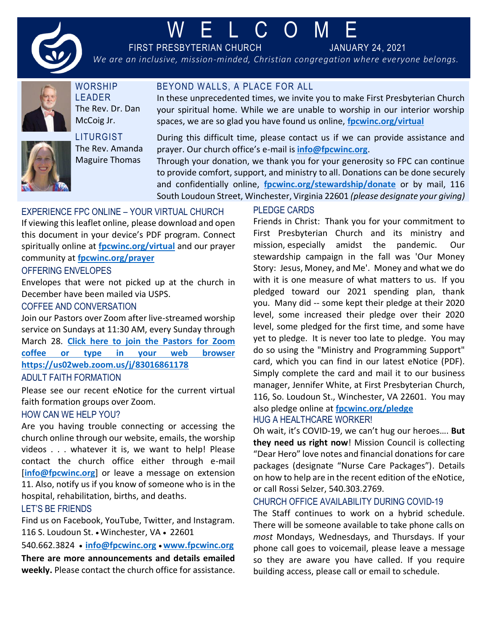

# W E L C O M E

BEYOND WALLS, A PLACE FOR ALL

FIRST PRESBYTERIAN CHURCH JANUARY 24, 2021

*We are an inclusive, mission-minded, Christian congregation where everyone belongs.*



**WORSHIP** LEADER The Rev. Dr. Dan McCoig Jr.



**LITURGIST** The Rev. Amanda Maguire Thomas

During this difficult time, please contact us if we can provide assistance and prayer. Our church office's e-mail is **[info@fpcwinc.org](mailto:info@fpcwinc.org)**.

In these unprecedented times, we invite you to make First Presbyterian Church your spiritual home. While we are unable to worship in our interior worship

Through your donation, we thank you for your generosity so FPC can continue to provide comfort, support, and ministry to all. Donations can be done securely and confidentially online, **[fpcwinc.org/stewardship/donate](https://www.fpcwinc.org/stewardship/donate)** or by mail, 116 South Loudoun Street, Winchester, Virginia 22601 *(please designate your giving)*

# EXPERIENCE FPC ONLINE – YOUR VIRTUAL CHURCH

If viewing this leaflet online, please download and open this document in your device's PDF program. Connect spiritually online at **[fpcwinc.org/virtual](https://www.fpcwinc.org/virtual)** and our prayer community at **[fpcwinc.org/prayer](https://fpcwinc.org/ministries/prayer/)**

# OFFERING ENVELOPES

Envelopes that were not picked up at the church in December have been mailed via USPS.

# COFFEE AND CONVERSATION

Join our Pastors over Zoom after live-streamed worship service on Sundays at 11:30 AM, every Sunday through March 28. **[Click here to join the Pastors for Zoom](https://us02web.zoom.us/j/83016861178)  [coffee or type in your web browser](https://us02web.zoom.us/j/83016861178)  <https://us02web.zoom.us/j/83016861178>**

# ADULT FAITH FORMATION

Please see our recent eNotice for the current virtual faith formation groups over Zoom.

#### HOW CAN WE HELP YOU?

Are you having trouble connecting or accessing the church online through our website, emails, the worship videos . . . whatever it is, we want to help! Please contact the church office either through e-mail [[info@fpcwinc.org](mailto:info@fpcwinc.org)] or leave a message on extension 11. Also, notify us if you know of someone who is in the hospital, rehabilitation, births, and deaths.

# LET'S BE FRIENDS

Find us on Facebook, YouTube, Twitter, and Instagram. 116 S. Loudoun St. • Winchester, VA • 22601

540.662.3824 • **[info@fpcwinc.org](mailto:info@fpcwinc.org)** • **[www.fpcwinc.org](http://www.fpcwinc.org/) There are more announcements and details emailed weekly.** Please contact the church office for assistance.

# PLEDGE CARDS

spaces, we are so glad you have found us online, **[fpcwinc.org/virtual](https://www.fpcwinc.org/virtual)**

Friends in Christ: Thank you for your commitment to First Presbyterian Church and its ministry and mission, especially amidst the pandemic. Our stewardship campaign in the fall was 'Our Money Story: Jesus, Money, and Me'. Money and what we do with it is one measure of what matters to us. If you pledged toward our 2021 spending plan, thank you. Many did -- some kept their pledge at their 2020 level, some increased their pledge over their 2020 level, some pledged for the first time, and some have yet to pledge. It is never too late to pledge. You may do so using the "Ministry and Programming Support" card, which you can find in our latest eNotice (PDF). Simply complete the card and mail it to our business manager, Jennifer White, at First Presbyterian Church, 116, So. Loudoun St., Winchester, VA 22601. You may also pledge online at **[fpcwinc.org/pledge](https://fpcwinc.org/pledge/)**

#### HUG A HEALTHCARE WORKER!

Oh wait, it's COVID-19, we can't hug our heroes…. **But they need us right now**! Mission Council is collecting "Dear Hero" love notes and financial donations for care packages (designate "Nurse Care Packages"). Details on how to help are in the recent edition of the eNotice, or call Rossi Selzer, 540.303.2769.

#### CHURCH OFFICE AVAILABILITY DURING COVID-19

The Staff continues to work on a hybrid schedule. There will be someone available to take phone calls on *most* Mondays, Wednesdays, and Thursdays. If your phone call goes to voicemail, please leave a message so they are aware you have called. If you require building access, please call or email to schedule.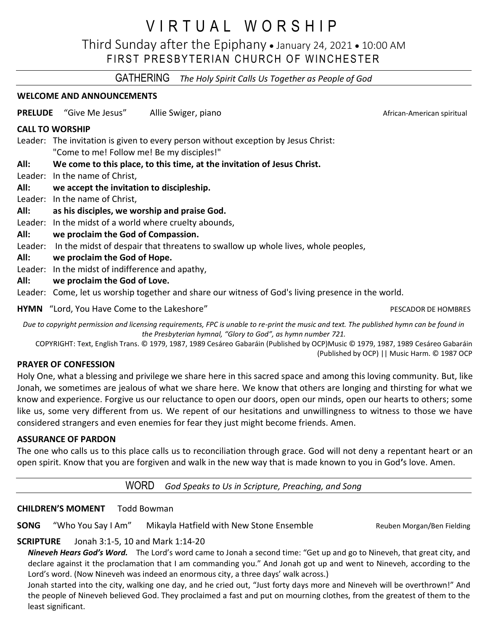# V I R T U A L W O R S H I P

Third Sunday after the Epiphany • January 24, 2021 • 10:00 AM FIRST PRESBYTERIAN CHURCH OF WINCHESTER

GATHERING *The Holy Spirit Calls Us Together as People of God*

# **WELCOME AND ANNOUNCEMENTS**

**PRELUDE** "Give Me Jesus" Allie Swiger, piano American Suite African-American spiritual

#### **CALL TO WORSHIP**

Leader: The invitation is given to every person without exception by Jesus Christ: "Come to me! Follow me! Be my disciples!"

# **All: We come to this place, to this time, at the invitation of Jesus Christ.**

Leader: In the name of Christ,

# **All: we accept the invitation to discipleship.**

Leader: In the name of Christ,

- **All: as his disciples, we worship and praise God.**
- Leader: In the midst of a world where cruelty abounds,

# **All: we proclaim the God of Compassion.**

Leader: In the midst of despair that threatens to swallow up whole lives, whole peoples,

**All: we proclaim the God of Hope.**

Leader: In the midst of indifference and apathy,

**All: we proclaim the God of Love.**

Leader: Come, let us worship together and share our witness of God's living presence in the world.

**HYMN** "Lord, You Have Come to the Lakeshore" **PESCADOR DE HOMBRES** PESCADOR DE HOMBRES

*Due to copyright permission and licensing requirements, FPC is unable to re-print the music and text. The published hymn can be found in the Presbyterian hymnal, "Glory to God", as hymn number 721.*

COPYRIGHT: Text, English Trans. © 1979, 1987, 1989 Cesáreo Gabaráin (Published by OCP)Music © 1979, 1987, 1989 Cesáreo Gabaráin (Published by OCP) || Music Harm. © 1987 OCP

#### **PRAYER OF CONFESSION**

Holy One, what a blessing and privilege we share here in this sacred space and among this loving community. But, like Jonah, we sometimes are jealous of what we share here. We know that others are longing and thirsting for what we know and experience. Forgive us our reluctance to open our doors, open our minds, open our hearts to others; some like us, some very different from us. We repent of our hesitations and unwillingness to witness to those we have considered strangers and even enemies for fear they just might become friends. Amen.

# **ASSURANCE OF PARDON**

The one who calls us to this place calls us to reconciliation through grace. God will not deny a repentant heart or an open spirit. Know that you are forgiven and walk in the new way that is made known to you in God**'**s love. Amen.

WORD *God Speaks to Us in Scripture, Preaching, and Song*

# **CHILDREN'S MOMENT** Todd Bowman

**SONG** "Who You Say I Am" Mikayla Hatfield with New Stone Ensemble Reuben Morgan/Ben Fielding

# **SCRIPTURE** Jonah 3:1-5, 10 and Mark 1:14-20

*Nineveh Hears God's Word.* The Lord's word came to Jonah a second time: "Get up and go to Nineveh, that great city, and declare against it the proclamation that I am commanding you." And Jonah got up and went to Nineveh, according to the Lord's word. (Now Nineveh was indeed an enormous city, a three days' walk across.)

Jonah started into the city, walking one day, and he cried out, "Just forty days more and Nineveh will be overthrown!" And the people of Nineveh believed God. They proclaimed a fast and put on mourning clothes, from the greatest of them to the least significant.